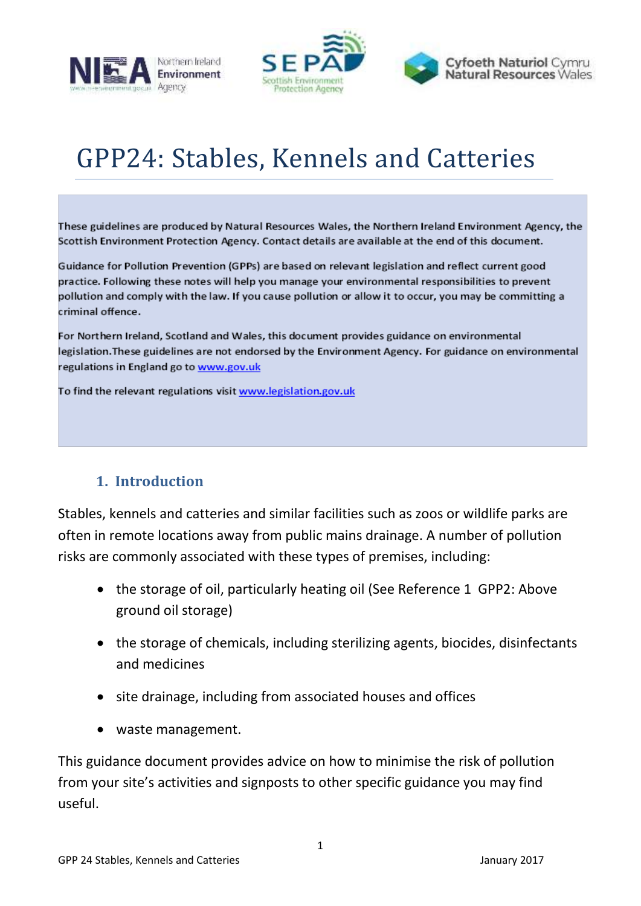



# GPP24: Stables, Kennels and Catteries

These guidelines are produced by Natural Resources Wales, the Northern Ireland Environment Agency, the Scottish Environment Protection Agency. Contact details are available at the end of this document.

Guidance for Pollution Prevention (GPPs) are based on relevant legislation and reflect current good practice. Following these notes will help you manage your environmental responsibilities to prevent pollution and comply with the law. If you cause pollution or allow it to occur, you may be committing a criminal offence.

For Northern Ireland, Scotland and Wales, this document provides guidance on environmental legislation. These guidelines are not endorsed by the Environment Agency. For guidance on environmental regulations in England go to www.gov.uk

To find the relevant regulations visit www.legislation.gov.uk

# <span id="page-0-0"></span>**1. Introduction**

Stables, kennels and catteries and similar facilities such as zoos or wildlife parks are often in remote locations away from public mains drainage. A number of pollution risks are commonly associated with these types of premises, including:

- the storage of oil, particularly heating oil (See Reference 1 GPP2: Above ground oil storage)
- the storage of chemicals, including sterilizing agents, biocides, disinfectants and medicines
- site drainage, including from associated houses and offices
- waste management.

This guidance document provides advice on how to minimise the risk of pollution from your site's activities and signposts to other specific guidance you may find useful.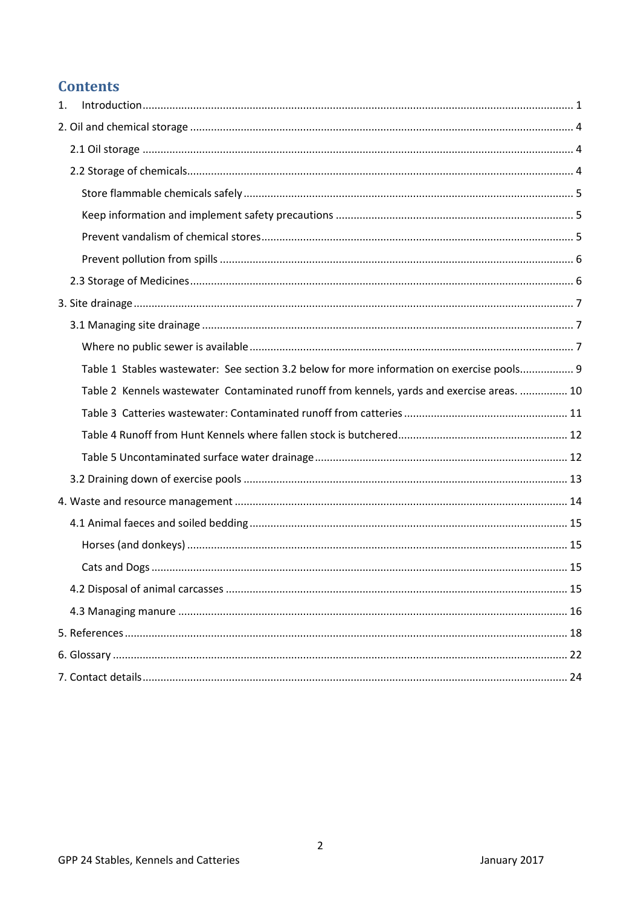# **Contents**

| 1. |                                                                                            |
|----|--------------------------------------------------------------------------------------------|
|    |                                                                                            |
|    |                                                                                            |
|    |                                                                                            |
|    |                                                                                            |
|    |                                                                                            |
|    |                                                                                            |
|    |                                                                                            |
|    |                                                                                            |
|    |                                                                                            |
|    |                                                                                            |
|    |                                                                                            |
|    | Table 1 Stables wastewater: See section 3.2 below for more information on exercise pools 9 |
|    | Table 2 Kennels wastewater Contaminated runoff from kennels, yards and exercise areas.  10 |
|    |                                                                                            |
|    |                                                                                            |
|    |                                                                                            |
|    |                                                                                            |
|    |                                                                                            |
|    |                                                                                            |
|    |                                                                                            |
|    |                                                                                            |
|    |                                                                                            |
|    |                                                                                            |
|    |                                                                                            |
|    |                                                                                            |
|    |                                                                                            |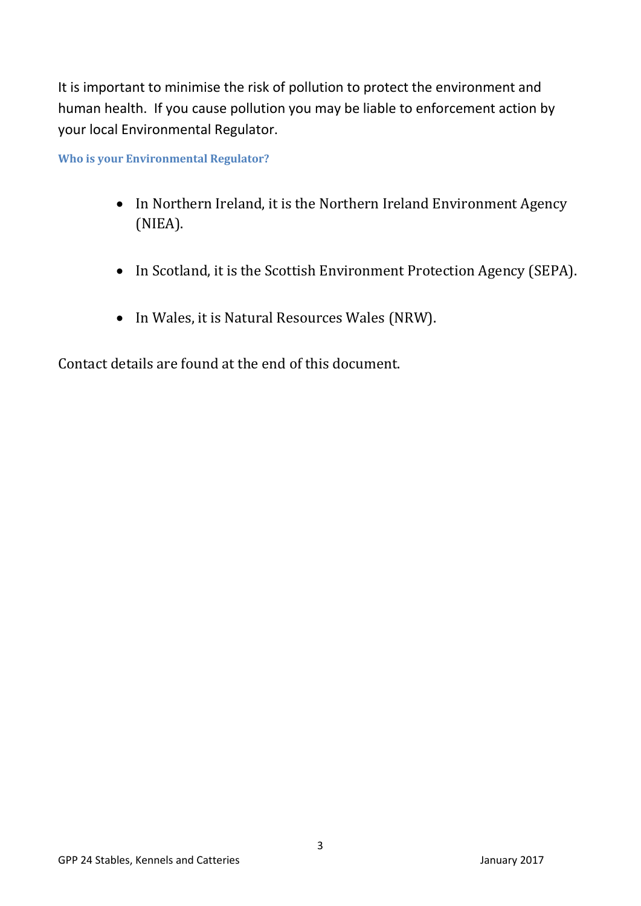It is important to minimise the risk of pollution to protect the environment and human health. If you cause pollution you may be liable to enforcement action by your local Environmental Regulator.

**Who is your Environmental Regulator?**

- In Northern Ireland, it is the Northern Ireland Environment Agency (NIEA).
- In Scotland, it is the Scottish Environment Protection Agency (SEPA).
- In Wales, it is Natural Resources Wales (NRW).

Contact details are found at the end of this document.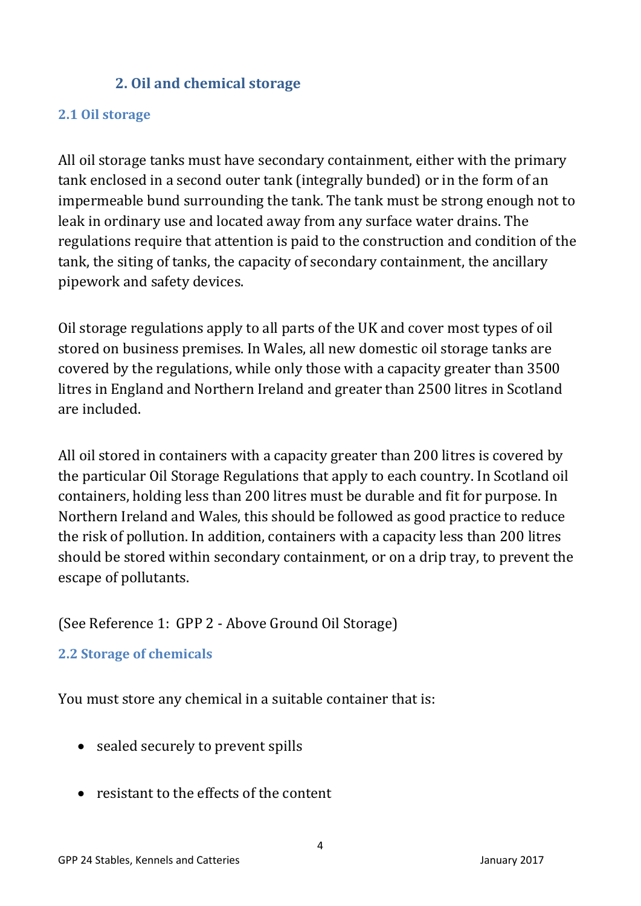# **2. Oil and chemical storage**

### <span id="page-3-1"></span><span id="page-3-0"></span>**2.1 Oil storage**

All oil storage tanks must have secondary containment, either with the primary tank enclosed in a second outer tank (integrally bunded) or in the form of an impermeable bund surrounding the tank. The tank must be strong enough not to leak in ordinary use and located away from any surface water drains. The regulations require that attention is paid to the construction and condition of the tank, the siting of tanks, the capacity of secondary containment, the ancillary pipework and safety devices.

Oil storage regulations apply to all parts of the UK and cover most types of oil stored on business premises. In Wales, all new domestic oil storage tanks are covered by the regulations, while only those with a capacity greater than 3500 litres in England and Northern Ireland and greater than 2500 litres in Scotland are included.

All oil stored in containers with a capacity greater than 200 litres is covered by the particular Oil Storage Regulations that apply to each country. In Scotland oil containers, holding less than 200 litres must be durable and fit for purpose. In Northern Ireland and Wales, this should be followed as good practice to reduce the risk of pollution. In addition, containers with a capacity less than 200 litres should be stored within secondary containment, or on a drip tray, to prevent the escape of pollutants.

# (See Reference 1: GPP 2 - Above Ground Oil Storage)

# <span id="page-3-2"></span>**2.2 Storage of chemicals**

You must store any chemical in a suitable container that is:

- sealed securely to prevent spills
- resistant to the effects of the content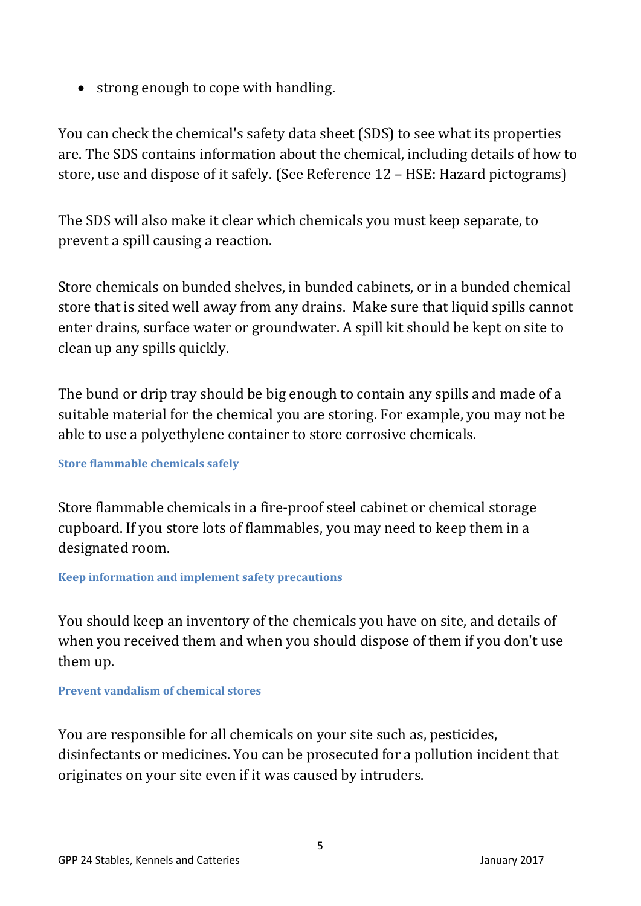• strong enough to cope with handling.

You can check the chemical's safety data sheet (SDS) to see what its properties are. The SDS contains information about the chemical, including details of how to store, use and dispose of it safely. (See Reference 12 – HSE: Hazard pictograms)

The SDS will also make it clear which chemicals you must keep separate, to prevent a spill causing a reaction.

Store chemicals on bunded shelves, in bunded cabinets, or in a bunded chemical store that is sited well away from any drains. Make sure that liquid spills cannot enter drains, surface water or groundwater. A spill kit should be kept on site to clean up any spills quickly.

The bund or drip tray should be big enough to contain any spills and made of a suitable material for the chemical you are storing. For example, you may not be able to use a polyethylene container to store corrosive chemicals.

### <span id="page-4-0"></span>**Store flammable chemicals safely**

Store flammable chemicals in a fire-proof steel cabinet or chemical storage cupboard. If you store lots of flammables, you may need to keep them in a designated room.

### <span id="page-4-1"></span>**Keep information and implement safety precautions**

You should keep an inventory of the chemicals you have on site, and details of when you received them and when you should dispose of them if you don't use them up.

### <span id="page-4-2"></span>**Prevent vandalism of chemical stores**

You are responsible for all chemicals on your site such as, pesticides, disinfectants or medicines. You can be prosecuted for a pollution incident that originates on your site even if it was caused by intruders.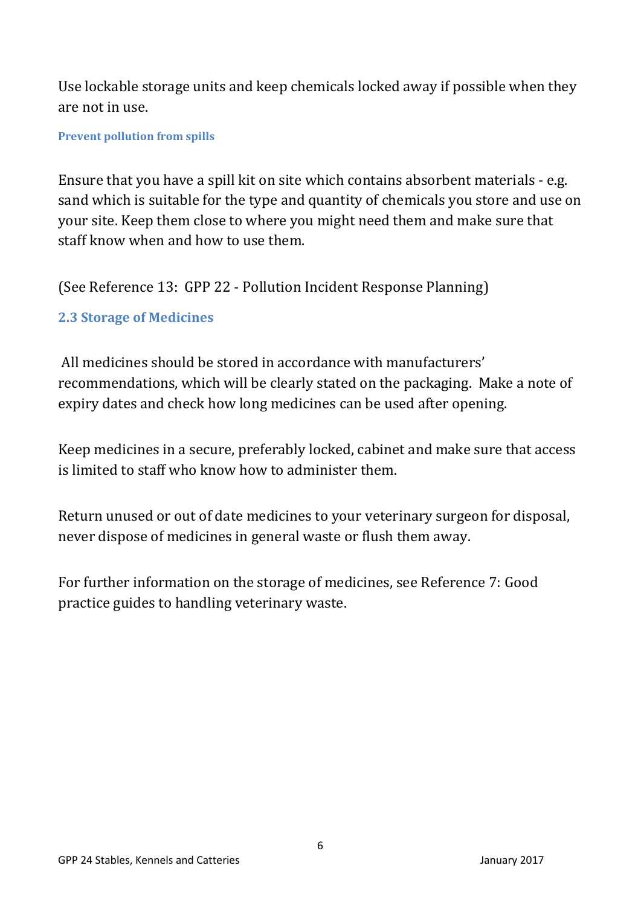Use lockable storage units and keep chemicals locked away if possible when they are not in use.

### <span id="page-5-0"></span>**Prevent pollution from spills**

Ensure that you have a spill kit on site which contains absorbent materials - e.g. sand which is suitable for the type and quantity of chemicals you store and use on your site. Keep them close to where you might need them and make sure that staff know when and how to use them.

(See Reference 13: GPP 22 - Pollution Incident Response Planning)

# <span id="page-5-1"></span>**2.3 Storage of Medicines**

All medicines should be stored in accordance with manufacturers' recommendations, which will be clearly stated on the packaging. Make a note of expiry dates and check how long medicines can be used after opening.

Keep medicines in a secure, preferably locked, cabinet and make sure that access is limited to staff who know how to administer them.

Return unused or out of date medicines to your veterinary surgeon for disposal, never dispose of medicines in general waste or flush them away.

For further information on the storage of medicines, see Reference 7: Good practice guides to handling veterinary waste.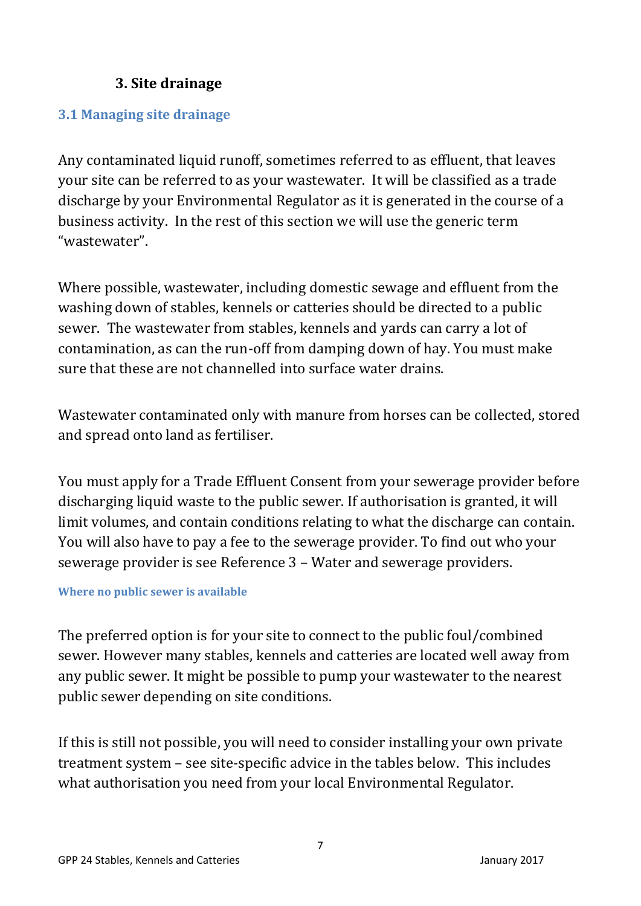# **3. Site drainage**

### <span id="page-6-1"></span><span id="page-6-0"></span>**3.1 Managing site drainage**

Any contaminated liquid runoff, sometimes referred to as effluent, that leaves your site can be referred to as your wastewater. It will be classified as a trade discharge by your Environmental Regulator as it is generated in the course of a business activity. In the rest of this section we will use the generic term "wastewater".

Where possible, wastewater, including domestic sewage and effluent from the washing down of stables, kennels or catteries should be directed to a public sewer. The wastewater from stables, kennels and yards can carry a lot of contamination, as can the run-off from damping down of hay. You must make sure that these are not channelled into surface water drains.

Wastewater contaminated only with manure from horses can be collected, stored and spread onto land as fertiliser.

You must apply for a Trade Effluent Consent from your sewerage provider before discharging liquid waste to the public sewer. If authorisation is granted, it will limit volumes, and contain conditions relating to what the discharge can contain. You will also have to pay a fee to the sewerage provider. To find out who your sewerage provider is see Reference 3 – Water and sewerage providers.

### <span id="page-6-2"></span>**Where no public sewer is available**

The preferred option is for your site to connect to the public foul/combined sewer. However many stables, kennels and catteries are located well away from any public sewer. It might be possible to pump your wastewater to the nearest public sewer depending on site conditions.

If this is still not possible, you will need to consider installing your own private treatment system – see site-specific advice in the tables below. This includes what authorisation you need from your local Environmental Regulator.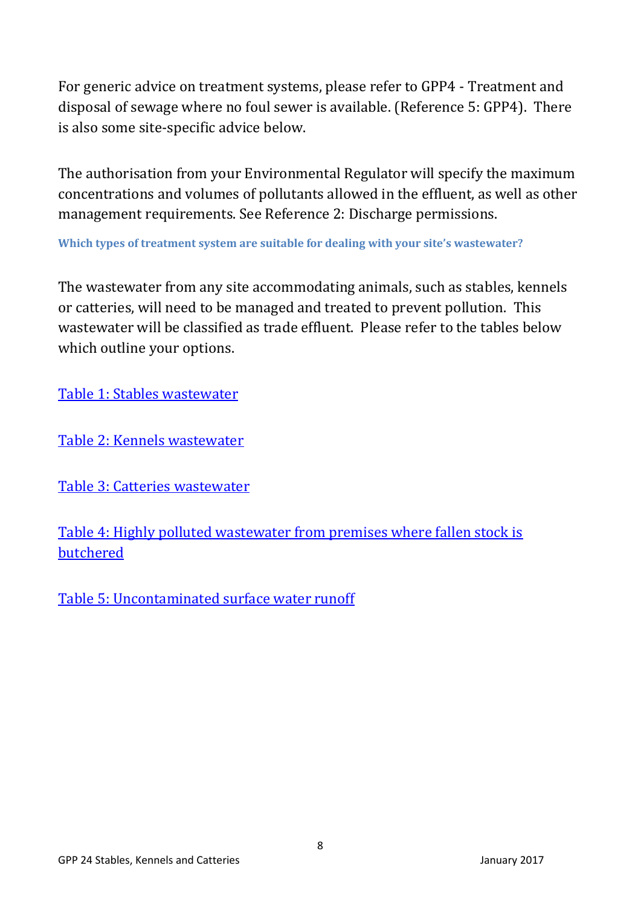For generic advice on treatment systems, please refer to GPP4 - Treatment and disposal of sewage where no foul sewer is available. (Reference 5: GPP4). There is also some site-specific advice below.

The authorisation from your Environmental Regulator will specify the maximum concentrations and volumes of pollutants allowed in the effluent, as well as other management requirements. See Reference 2: Discharge permissions.

**Which types of treatment system are suitable for dealing with your site's wastewater?**

The wastewater from any site accommodating animals, such as stables, kennels or catteries, will need to be managed and treated to prevent pollution. This wastewater will be classified as trade effluent. Please refer to the tables below which outline your options.

[Table 1: Stables wastewater](#page-8-0)

[Table 2: Kennels wastewater](#page-9-0)

[Table 3: Catteries wastewater](#page-10-0)

[Table 4: Highly polluted wastewater from premises where fallen stock is](#page-11-0)  [butchered](#page-11-0)

[Table 5: Uncontaminated surface water runoff](#page-11-1)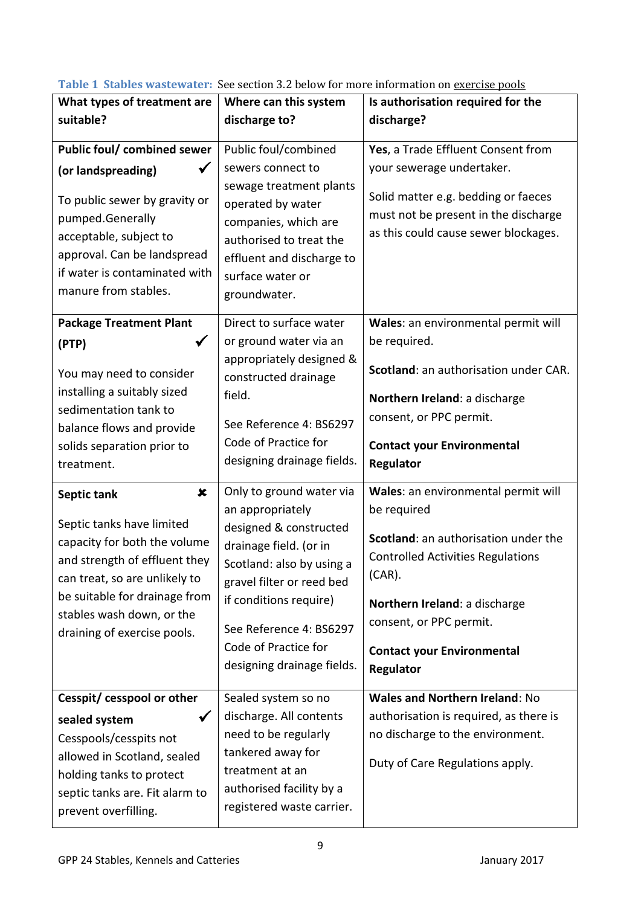<span id="page-8-0"></span>**Table 1 Stables wastewater:** See section 3.2 below for more information on exercise pools

| What types of treatment are<br>suitable?                                                                                                                                                                                                                             | Where can this system<br>discharge to?                                                                                                                                                                                                                                | rapics mastemater. Dee section siz below for more information on exercise pools<br>Is authorisation required for the<br>discharge?                                                                                                                                |
|----------------------------------------------------------------------------------------------------------------------------------------------------------------------------------------------------------------------------------------------------------------------|-----------------------------------------------------------------------------------------------------------------------------------------------------------------------------------------------------------------------------------------------------------------------|-------------------------------------------------------------------------------------------------------------------------------------------------------------------------------------------------------------------------------------------------------------------|
| Public foul/ combined sewer<br>(or landspreading)<br>To public sewer by gravity or<br>pumped.Generally<br>acceptable, subject to<br>approval. Can be landspread<br>if water is contaminated with<br>manure from stables.                                             | Public foul/combined<br>sewers connect to<br>sewage treatment plants<br>operated by water<br>companies, which are<br>authorised to treat the<br>effluent and discharge to<br>surface water or<br>groundwater.                                                         | Yes, a Trade Effluent Consent from<br>your sewerage undertaker.<br>Solid matter e.g. bedding or faeces<br>must not be present in the discharge<br>as this could cause sewer blockages.                                                                            |
| <b>Package Treatment Plant</b><br>(PTP)<br>You may need to consider<br>installing a suitably sized<br>sedimentation tank to<br>balance flows and provide<br>solids separation prior to<br>treatment.                                                                 | Direct to surface water<br>or ground water via an<br>appropriately designed &<br>constructed drainage<br>field.<br>See Reference 4: BS6297<br>Code of Practice for<br>designing drainage fields.                                                                      | Wales: an environmental permit will<br>be required.<br>Scotland: an authorisation under CAR.<br>Northern Ireland: a discharge<br>consent, or PPC permit.<br><b>Contact your Environmental</b><br>Regulator                                                        |
| $\boldsymbol{\mathsf{x}}$<br>Septic tank<br>Septic tanks have limited<br>capacity for both the volume<br>and strength of effluent they<br>can treat, so are unlikely to<br>be suitable for drainage from<br>stables wash down, or the<br>draining of exercise pools. | Only to ground water via<br>an appropriately<br>designed & constructed<br>drainage field. (or in<br>Scotland: also by using a<br>gravel filter or reed bed<br>if conditions require)<br>See Reference 4: BS6297<br>Code of Practice for<br>designing drainage fields. | Wales: an environmental permit will<br>be required<br>Scotland: an authorisation under the<br><b>Controlled Activities Regulations</b><br>$(CAR)$ .<br>Northern Ireland: a discharge<br>consent, or PPC permit.<br><b>Contact your Environmental</b><br>Regulator |
| Cesspit/ cesspool or other<br>sealed system<br>Cesspools/cesspits not<br>allowed in Scotland, sealed<br>holding tanks to protect<br>septic tanks are. Fit alarm to<br>prevent overfilling.                                                                           | Sealed system so no<br>discharge. All contents<br>need to be regularly<br>tankered away for<br>treatment at an<br>authorised facility by a<br>registered waste carrier.                                                                                               | <b>Wales and Northern Ireland: No</b><br>authorisation is required, as there is<br>no discharge to the environment.<br>Duty of Care Regulations apply.                                                                                                            |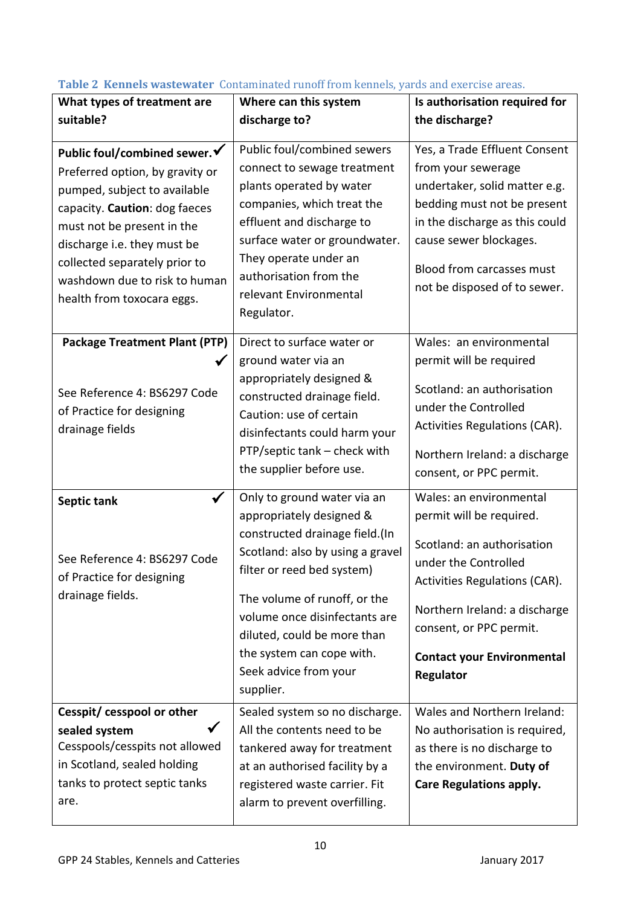| What types of treatment are                                                                                                                                                                                                                                                                    | Where can this system                                                                                                                                                                                                                                                                                                          | Is authorisation required for                                                                                                                                                                                                                            |
|------------------------------------------------------------------------------------------------------------------------------------------------------------------------------------------------------------------------------------------------------------------------------------------------|--------------------------------------------------------------------------------------------------------------------------------------------------------------------------------------------------------------------------------------------------------------------------------------------------------------------------------|----------------------------------------------------------------------------------------------------------------------------------------------------------------------------------------------------------------------------------------------------------|
| suitable?                                                                                                                                                                                                                                                                                      | discharge to?                                                                                                                                                                                                                                                                                                                  | the discharge?                                                                                                                                                                                                                                           |
| Public foul/combined sewer. ✔<br>Preferred option, by gravity or<br>pumped, subject to available<br>capacity. Caution: dog faeces<br>must not be present in the<br>discharge i.e. they must be<br>collected separately prior to<br>washdown due to risk to human<br>health from toxocara eggs. | Public foul/combined sewers<br>connect to sewage treatment<br>plants operated by water<br>companies, which treat the<br>effluent and discharge to<br>surface water or groundwater.<br>They operate under an<br>authorisation from the<br>relevant Environmental<br>Regulator.                                                  | Yes, a Trade Effluent Consent<br>from your sewerage<br>undertaker, solid matter e.g.<br>bedding must not be present<br>in the discharge as this could<br>cause sewer blockages.<br>Blood from carcasses must<br>not be disposed of to sewer.             |
| <b>Package Treatment Plant (PTP)</b><br>$\checkmark$<br>See Reference 4: BS6297 Code<br>of Practice for designing<br>drainage fields                                                                                                                                                           | Direct to surface water or<br>ground water via an<br>appropriately designed &<br>constructed drainage field.<br>Caution: use of certain<br>disinfectants could harm your<br>PTP/septic tank - check with<br>the supplier before use.                                                                                           | Wales: an environmental<br>permit will be required<br>Scotland: an authorisation<br>under the Controlled<br>Activities Regulations (CAR).<br>Northern Ireland: a discharge<br>consent, or PPC permit.                                                    |
| $\checkmark$<br>Septic tank<br>See Reference 4: BS6297 Code<br>of Practice for designing<br>drainage fields.                                                                                                                                                                                   | Only to ground water via an<br>appropriately designed &<br>constructed drainage field.(In<br>Scotland: also by using a gravel<br>filter or reed bed system)<br>The volume of runoff, or the<br>volume once disinfectants are<br>diluted, could be more than<br>the system can cope with.<br>Seek advice from your<br>supplier. | Wales: an environmental<br>permit will be required.<br>Scotland: an authorisation<br>under the Controlled<br>Activities Regulations (CAR).<br>Northern Ireland: a discharge<br>consent, or PPC permit.<br><b>Contact your Environmental</b><br>Regulator |
| Cesspit/ cesspool or other<br>sealed system<br>Cesspools/cesspits not allowed<br>in Scotland, sealed holding<br>tanks to protect septic tanks<br>are.                                                                                                                                          | Sealed system so no discharge.<br>All the contents need to be<br>tankered away for treatment<br>at an authorised facility by a<br>registered waste carrier. Fit<br>alarm to prevent overfilling.                                                                                                                               | Wales and Northern Ireland:<br>No authorisation is required,<br>as there is no discharge to<br>the environment. Duty of<br><b>Care Regulations apply.</b>                                                                                                |

# <span id="page-9-0"></span>**Table 2 Kennels wastewater** Contaminated runoff from kennels, yards and exercise areas.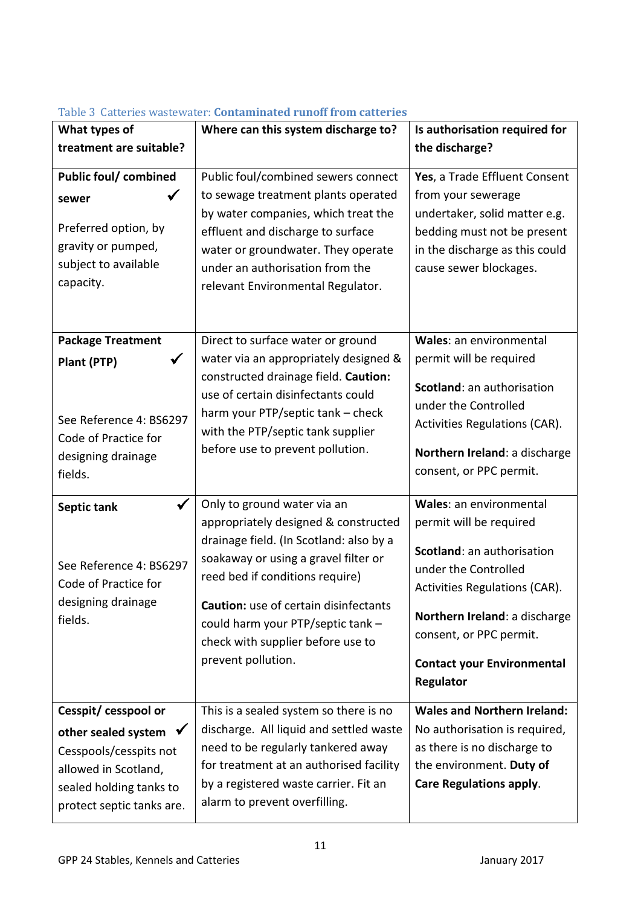| What types of                                                                                                                                                      | Where can this system discharge to?                                                                                                                                                                                                                                                                                                | Is authorisation required for                                                                                                                                                                                                                                  |
|--------------------------------------------------------------------------------------------------------------------------------------------------------------------|------------------------------------------------------------------------------------------------------------------------------------------------------------------------------------------------------------------------------------------------------------------------------------------------------------------------------------|----------------------------------------------------------------------------------------------------------------------------------------------------------------------------------------------------------------------------------------------------------------|
| treatment are suitable?                                                                                                                                            |                                                                                                                                                                                                                                                                                                                                    | the discharge?                                                                                                                                                                                                                                                 |
| <b>Public foul/ combined</b><br>sewer<br>Preferred option, by<br>gravity or pumped,<br>subject to available<br>capacity.                                           | Public foul/combined sewers connect<br>to sewage treatment plants operated<br>by water companies, which treat the<br>effluent and discharge to surface<br>water or groundwater. They operate<br>under an authorisation from the<br>relevant Environmental Regulator.                                                               | Yes, a Trade Effluent Consent<br>from your sewerage<br>undertaker, solid matter e.g.<br>bedding must not be present<br>in the discharge as this could<br>cause sewer blockages.                                                                                |
| <b>Package Treatment</b><br>$\checkmark$<br>Plant (PTP)<br>See Reference 4: BS6297<br>Code of Practice for<br>designing drainage<br>fields.                        | Direct to surface water or ground<br>water via an appropriately designed &<br>constructed drainage field. Caution:<br>use of certain disinfectants could<br>harm your PTP/septic tank - check<br>with the PTP/septic tank supplier<br>before use to prevent pollution.                                                             | Wales: an environmental<br>permit will be required<br>Scotland: an authorisation<br>under the Controlled<br>Activities Regulations (CAR).<br>Northern Ireland: a discharge<br>consent, or PPC permit.                                                          |
| Septic tank<br>See Reference 4: BS6297<br>Code of Practice for<br>designing drainage<br>fields.                                                                    | Only to ground water via an<br>appropriately designed & constructed<br>drainage field. (In Scotland: also by a<br>soakaway or using a gravel filter or<br>reed bed if conditions require)<br>Caution: use of certain disinfectants<br>could harm your PTP/septic tank -<br>check with supplier before use to<br>prevent pollution. | Wales: an environmental<br>permit will be required<br>Scotland: an authorisation<br>under the Controlled<br><b>Activities Regulations (CAR).</b><br>Northern Ireland: a discharge<br>consent, or PPC permit.<br><b>Contact your Environmental</b><br>Regulator |
| Cesspit/cesspool or<br>$\sqrt{ }$<br>other sealed system<br>Cesspools/cesspits not<br>allowed in Scotland,<br>sealed holding tanks to<br>protect septic tanks are. | This is a sealed system so there is no<br>discharge. All liquid and settled waste<br>need to be regularly tankered away<br>for treatment at an authorised facility<br>by a registered waste carrier. Fit an<br>alarm to prevent overfilling.                                                                                       | <b>Wales and Northern Ireland:</b><br>No authorisation is required,<br>as there is no discharge to<br>the environment. Duty of<br><b>Care Regulations apply.</b>                                                                                               |

#### <span id="page-10-0"></span>Table 3 Catteries wastewater: **Contaminated runoff from catteries**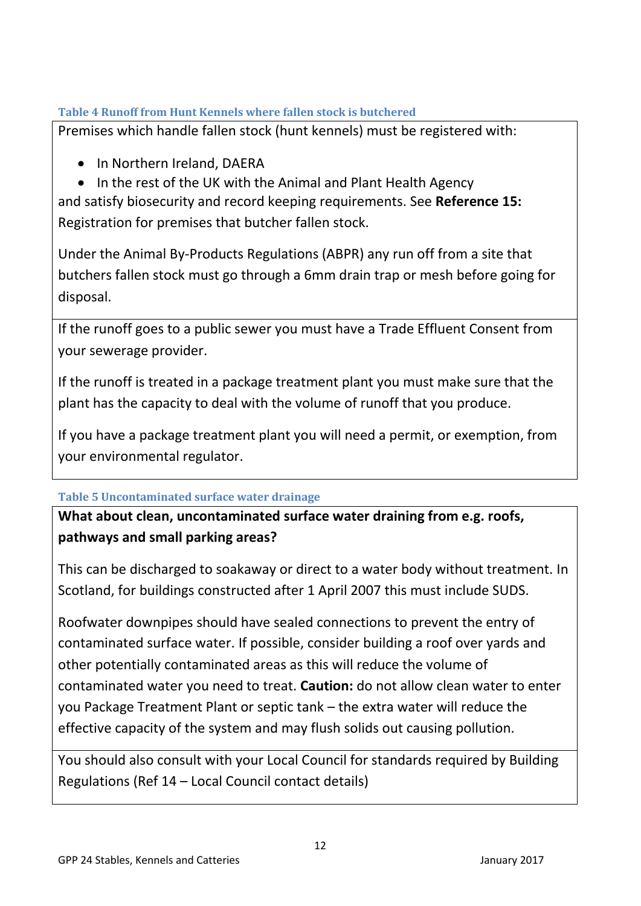### <span id="page-11-0"></span>**Table 4 Runoff from Hunt Kennels where fallen stock is butchered**

Premises which handle fallen stock (hunt kennels) must be registered with:

- In Northern Ireland, DAERA
- In the rest of the UK with the Animal and Plant Health Agency

and satisfy biosecurity and record keeping requirements. See **Reference 15:**  Registration for premises that butcher fallen stock.

Under the Animal By-Products Regulations (ABPR) any run off from a site that butchers fallen stock must go through a 6mm drain trap or mesh before going for disposal.

If the runoff goes to a public sewer you must have a Trade Effluent Consent from your sewerage provider.

If the runoff is treated in a package treatment plant you must make sure that the plant has the capacity to deal with the volume of runoff that you produce.

If you have a package treatment plant you will need a permit, or exemption, from your environmental regulator.

### <span id="page-11-1"></span>**Table 5 Uncontaminated surface water drainage**

# **What about clean, uncontaminated surface water draining from e.g. roofs, pathways and small parking areas?**

This can be discharged to soakaway or direct to a water body without treatment. In Scotland, for buildings constructed after 1 April 2007 this must include SUDS.

Roofwater downpipes should have sealed connections to prevent the entry of contaminated surface water. If possible, consider building a roof over yards and other potentially contaminated areas as this will reduce the volume of contaminated water you need to treat. **Caution:** do not allow clean water to enter you Package Treatment Plant or septic tank – the extra water will reduce the effective capacity of the system and may flush solids out causing pollution.

You should also consult with your Local Council for standards required by Building Regulations (Ref 14 – Local Council contact details)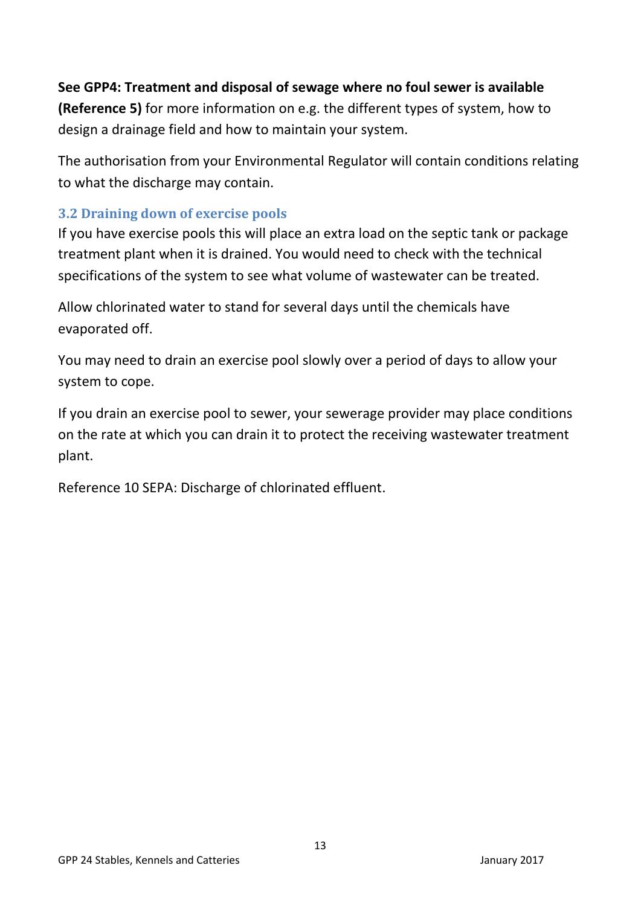# **See GPP4: Treatment and disposal of sewage where no foul sewer is available (Reference 5)** for more information on e.g. the different types of system, how to

design a drainage field and how to maintain your system.

The authorisation from your Environmental Regulator will contain conditions relating to what the discharge may contain.

# <span id="page-12-0"></span>**3.2 Draining down of exercise pools**

If you have exercise pools this will place an extra load on the septic tank or package treatment plant when it is drained. You would need to check with the technical specifications of the system to see what volume of wastewater can be treated.

Allow chlorinated water to stand for several days until the chemicals have evaporated off.

You may need to drain an exercise pool slowly over a period of days to allow your system to cope.

If you drain an exercise pool to sewer, your sewerage provider may place conditions on the rate at which you can drain it to protect the receiving wastewater treatment plant.

Reference 10 SEPA: Discharge of chlorinated effluent.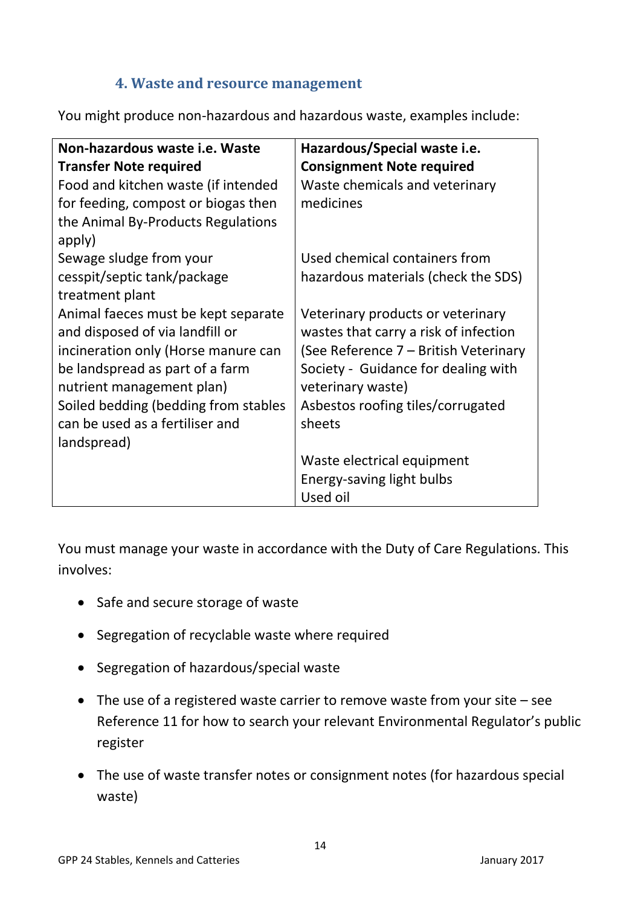### **4. Waste and resource management**

<span id="page-13-0"></span>You might produce non-hazardous and hazardous waste, examples include:

| Non-hazardous waste i.e. Waste       | Hazardous/Special waste i.e.          |
|--------------------------------------|---------------------------------------|
| <b>Transfer Note required</b>        | <b>Consignment Note required</b>      |
| Food and kitchen waste (if intended  | Waste chemicals and veterinary        |
| for feeding, compost or biogas then  | medicines                             |
| the Animal By-Products Regulations   |                                       |
| apply)                               |                                       |
| Sewage sludge from your              | Used chemical containers from         |
| cesspit/septic tank/package          | hazardous materials (check the SDS)   |
| treatment plant                      |                                       |
| Animal faeces must be kept separate  | Veterinary products or veterinary     |
| and disposed of via landfill or      | wastes that carry a risk of infection |
| incineration only (Horse manure can  | (See Reference 7 – British Veterinary |
| be landspread as part of a farm      | Society - Guidance for dealing with   |
| nutrient management plan)            | veterinary waste)                     |
| Soiled bedding (bedding from stables | Asbestos roofing tiles/corrugated     |
| can be used as a fertiliser and      | sheets                                |
| landspread)                          |                                       |
|                                      | Waste electrical equipment            |
|                                      | Energy-saving light bulbs             |
|                                      | Used oil                              |

You must manage your waste in accordance with the Duty of Care Regulations. This involves:

- Safe and secure storage of waste
- Segregation of recyclable waste where required
- Segregation of hazardous/special waste
- The use of a registered waste carrier to remove waste from your site see Reference 11 for how to search your relevant Environmental Regulator's public register
- The use of waste transfer notes or consignment notes (for hazardous special waste)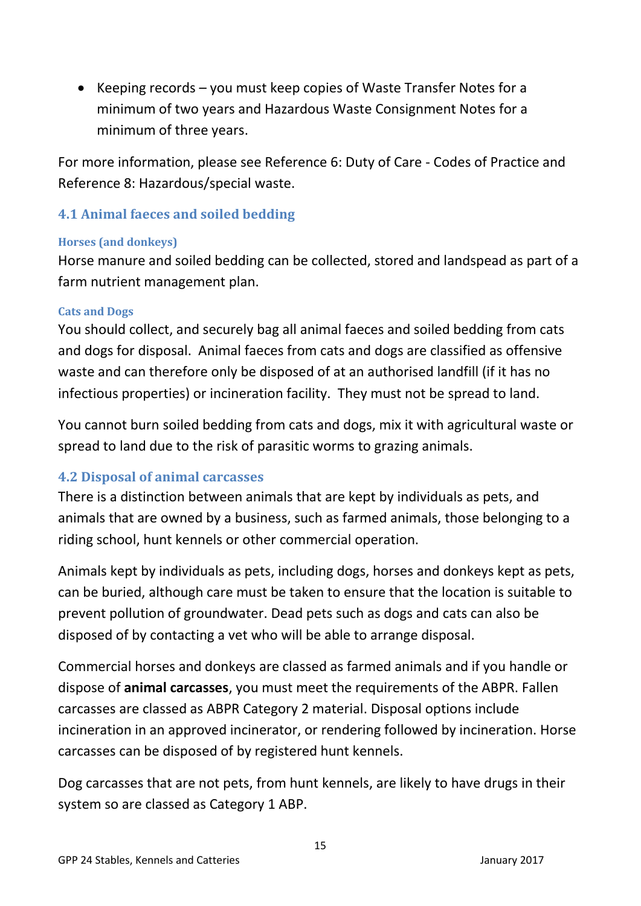EXEPT Keeping records – you must keep copies of Waste Transfer Notes for a minimum of two years and Hazardous Waste Consignment Notes for a minimum of three years.

For more information, please see Reference 6: Duty of Care - Codes of Practice and Reference 8: Hazardous/special waste.

### <span id="page-14-0"></span>**4.1 Animal faeces and soiled bedding**

### <span id="page-14-1"></span>**Horses (and donkeys)**

Horse manure and soiled bedding can be collected, stored and landspead as part of a farm nutrient management plan.

### <span id="page-14-2"></span>**Cats and Dogs**

You should collect, and securely bag all animal faeces and soiled bedding from cats and dogs for disposal. Animal faeces from cats and dogs are classified as offensive waste and can therefore only be disposed of at an authorised landfill (if it has no infectious properties) or incineration facility. They must not be spread to land.

You cannot burn soiled bedding from cats and dogs, mix it with agricultural waste or spread to land due to the risk of parasitic worms to grazing animals.

### <span id="page-14-3"></span>**4.2 Disposal of animal carcasses**

There is a distinction between animals that are kept by individuals as pets, and animals that are owned by a business, such as farmed animals, those belonging to a riding school, hunt kennels or other commercial operation.

Animals kept by individuals as pets, including dogs, horses and donkeys kept as pets, can be buried, although care must be taken to ensure that the location is suitable to prevent pollution of groundwater. Dead pets such as dogs and cats can also be disposed of by contacting a vet who will be able to arrange disposal.

Commercial horses and donkeys are classed as farmed animals and if you handle or dispose of **animal carcasses**, you must meet the requirements of the ABPR. Fallen carcasses are classed as ABPR Category 2 material. Disposal options include incineration in an approved incinerator, or rendering followed by incineration. Horse carcasses can be disposed of by registered hunt kennels.

Dog carcasses that are not pets, from hunt kennels, are likely to have drugs in their system so are classed as Category 1 ABP.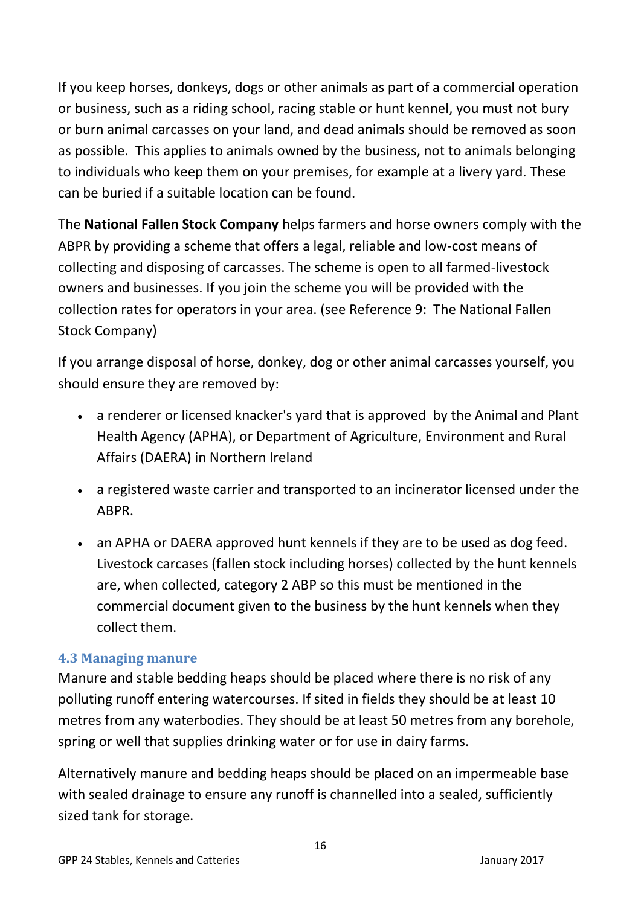If you keep horses, donkeys, dogs or other animals as part of a commercial operation or business, such as a riding school, racing stable or hunt kennel, you must not bury or burn animal carcasses on your land, and dead animals should be removed as soon as possible. This applies to animals owned by the business, not to animals belonging to individuals who keep them on your premises, for example at a livery yard. These can be buried if a suitable location can be found.

The **National Fallen Stock Company** helps farmers and horse owners comply with the ABPR by providing a scheme that offers a legal, reliable and low-cost means of collecting and disposing of carcasses. The scheme is open to all farmed-livestock owners and businesses. If you join the scheme you will be provided with the collection rates for operators in your area. (see Reference 9: The National Fallen Stock Company)

If you arrange disposal of horse, donkey, dog or other animal carcasses yourself, you should ensure they are removed by:

- a renderer or licensed knacker's yard that is approved by the Animal and Plant Health Agency (APHA), or Department of Agriculture, Environment and Rural Affairs (DAERA) in Northern Ireland
- a registered waste carrier and transported to an incinerator licensed under the ABPR.
- an APHA or DAERA approved hunt kennels if they are to be used as dog feed. Livestock carcases (fallen stock including horses) collected by the hunt kennels are, when collected, category 2 ABP so this must be mentioned in the commercial document given to the business by the hunt kennels when they collect them.

### <span id="page-15-0"></span>**4.3 Managing manure**

Manure and stable bedding heaps should be placed where there is no risk of any polluting runoff entering watercourses. If sited in fields they should be at least 10 metres from any waterbodies. They should be at least 50 metres from any borehole, spring or well that supplies drinking water or for use in dairy farms.

Alternatively manure and bedding heaps should be placed on an impermeable base with sealed drainage to ensure any runoff is channelled into a sealed, sufficiently sized tank for storage.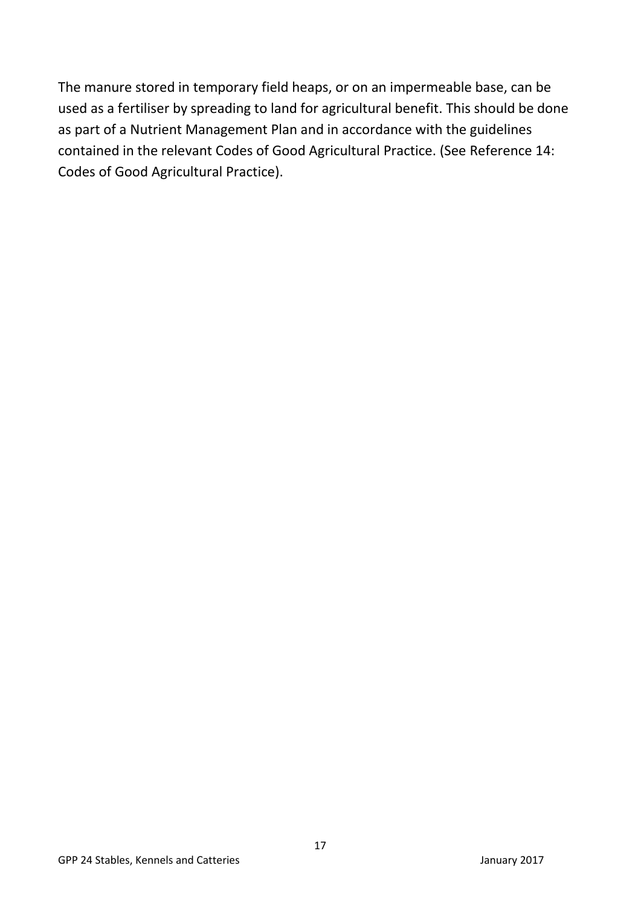The manure stored in temporary field heaps, or on an impermeable base, can be used as a fertiliser by spreading to land for agricultural benefit. This should be done as part of a Nutrient Management Plan and in accordance with the guidelines contained in the relevant Codes of Good Agricultural Practice. (See Reference 14: Codes of Good Agricultural Practice).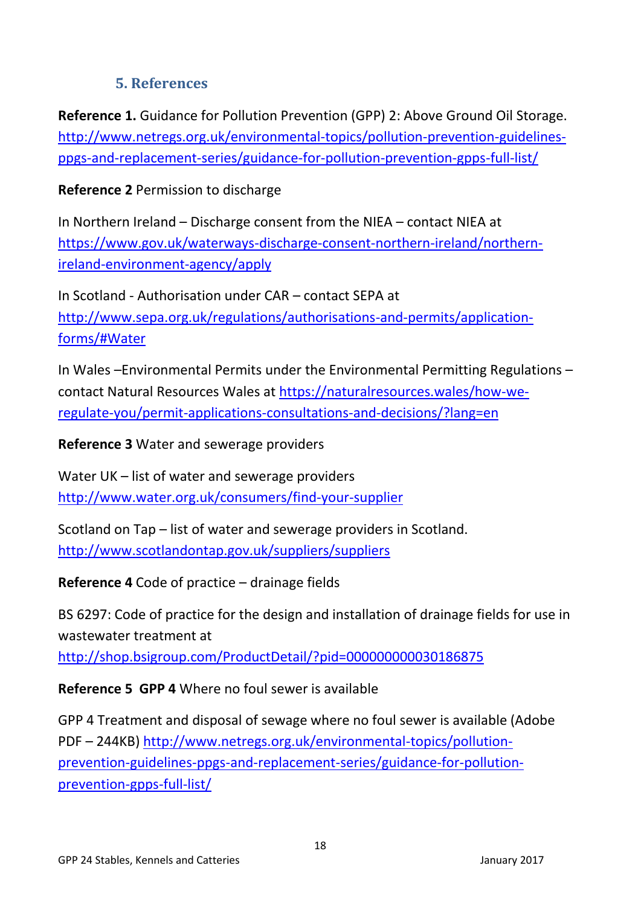# **5. References**

<span id="page-17-0"></span>**Reference 1.** Guidance for Pollution Prevention (GPP) 2: Above Ground Oil Storage. [http://www.netregs.org.uk/environmental-topics/pollution-prevention-guidelines](http://www.netregs.org.uk/environmental-topics/pollution-prevention-guidelines-ppgs-and-replacement-series/guidance-for-pollution-prevention-gpps-full-list/)[ppgs-and-replacement-series/guidance-for-pollution-prevention-gpps-full-list/](http://www.netregs.org.uk/environmental-topics/pollution-prevention-guidelines-ppgs-and-replacement-series/guidance-for-pollution-prevention-gpps-full-list/)

**Reference 2** Permission to discharge

In Northern Ireland – Discharge consent from the NIEA – contact NIEA at [https://www.gov.uk/waterways-discharge-consent-northern-ireland/northern](https://www.gov.uk/waterways-discharge-consent-northern-ireland/northern-ireland-environment-agency/apply)[ireland-environment-agency/apply](https://www.gov.uk/waterways-discharge-consent-northern-ireland/northern-ireland-environment-agency/apply)

In Scotland - Authorisation under CAR – contact SEPA at [http://www.sepa.org.uk/regulations/authorisations-and-permits/application](http://www.sepa.org.uk/regulations/authorisations-and-permits/application-forms/#Water)[forms/#Water](http://www.sepa.org.uk/regulations/authorisations-and-permits/application-forms/#Water)

In Wales –Environmental Permits under the Environmental Permitting Regulations – contact Natural Resources Wales at [https://naturalresources.wales/how-we](https://naturalresources.wales/how-we-regulate-you/permit-applications-consultations-and-decisions/?lang=en)[regulate-you/permit-applications-consultations-and-decisions/?lang=en](https://naturalresources.wales/how-we-regulate-you/permit-applications-consultations-and-decisions/?lang=en)

**Reference 3** Water and sewerage providers

Water UK – list of water and sewerage providers <http://www.water.org.uk/consumers/find-your-supplier>

Scotland on Tap – list of water and sewerage providers in Scotland. <http://www.scotlandontap.gov.uk/suppliers/suppliers>

**Reference 4** Code of practice – drainage fields

BS 6297: Code of practice for the design and installation of drainage fields for use in wastewater treatment at

<http://shop.bsigroup.com/ProductDetail/?pid=000000000030186875>

**Reference 5 GPP 4** Where no foul sewer is available

GPP 4 Treatment and disposal of sewage where no foul sewer is available (Adobe PDF – 244KB) [http://www.netregs.org.uk/environmental-topics/pollution](http://www.netregs.org.uk/environmental-topics/pollution-prevention-guidelines-ppgs-and-replacement-series/guidance-for-pollution-prevention-gpps-full-list/)[prevention-guidelines-ppgs-and-replacement-series/guidance-for-pollution](http://www.netregs.org.uk/environmental-topics/pollution-prevention-guidelines-ppgs-and-replacement-series/guidance-for-pollution-prevention-gpps-full-list/)[prevention-gpps-full-list/](http://www.netregs.org.uk/environmental-topics/pollution-prevention-guidelines-ppgs-and-replacement-series/guidance-for-pollution-prevention-gpps-full-list/)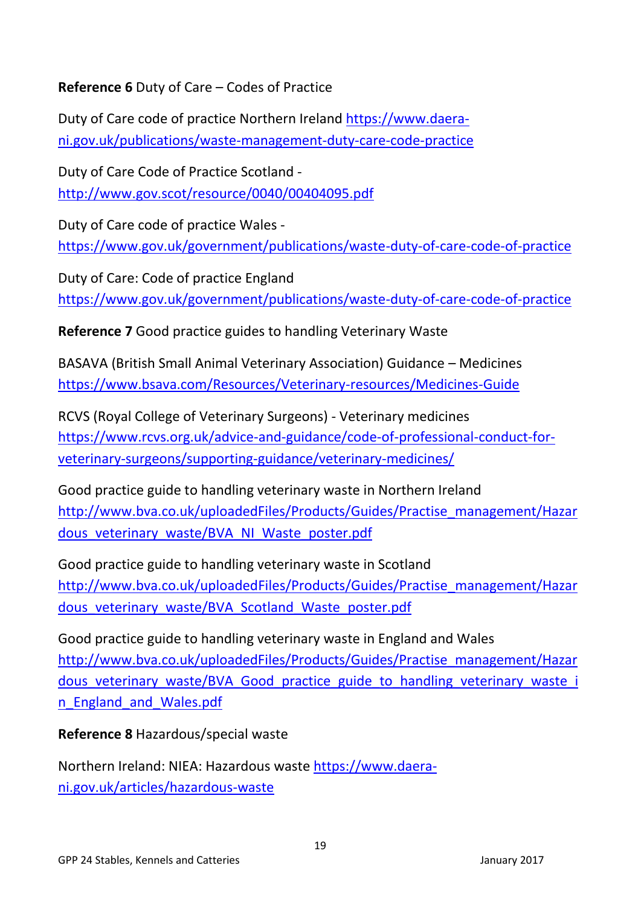# **Reference 6** Duty of Care – Codes of Practice

Duty of Care code of practice Northern Ireland [https://www.daera](https://www.daera-ni.gov.uk/publications/waste-management-duty-care-code-practice)[ni.gov.uk/publications/waste-management-duty-care-code-practice](https://www.daera-ni.gov.uk/publications/waste-management-duty-care-code-practice)

Duty of Care Code of Practice Scotland <http://www.gov.scot/resource/0040/00404095.pdf>

Duty of Care code of practice Wales <https://www.gov.uk/government/publications/waste-duty-of-care-code-of-practice>

Duty of Care: Code of practice England <https://www.gov.uk/government/publications/waste-duty-of-care-code-of-practice>

**Reference 7** Good practice guides to handling Veterinary Waste

BASAVA (British Small Animal Veterinary Association) Guidance – Medicines <https://www.bsava.com/Resources/Veterinary-resources/Medicines-Guide>

RCVS (Royal College of Veterinary Surgeons) - Veterinary medicines [https://www.rcvs.org.uk/advice-and-guidance/code-of-professional-conduct-for](https://www.rcvs.org.uk/advice-and-guidance/code-of-professional-conduct-for-veterinary-surgeons/supporting-guidance/veterinary-medicines/)[veterinary-surgeons/supporting-guidance/veterinary-medicines/](https://www.rcvs.org.uk/advice-and-guidance/code-of-professional-conduct-for-veterinary-surgeons/supporting-guidance/veterinary-medicines/)

Good practice guide to handling veterinary waste in Northern Ireland [http://www.bva.co.uk/uploadedFiles/Products/Guides/Practise\\_management/Hazar](http://www.bva.co.uk/uploadedFiles/Products/Guides/Practise_management/Hazardous_veterinary_waste/BVA_NI_Waste_poster.pdf) dous veterinary waste/BVA\_NI\_Waste\_poster.pdf

Good practice guide to handling veterinary waste in Scotland [http://www.bva.co.uk/uploadedFiles/Products/Guides/Practise\\_management/Hazar](http://www.bva.co.uk/uploadedFiles/Products/Guides/Practise_management/Hazardous_veterinary_waste/BVA_Scotland_Waste_poster.pdf) [dous\\_veterinary\\_waste/BVA\\_Scotland\\_Waste\\_poster.pdf](http://www.bva.co.uk/uploadedFiles/Products/Guides/Practise_management/Hazardous_veterinary_waste/BVA_Scotland_Waste_poster.pdf)

Good practice guide to handling veterinary waste in England and Wales [http://www.bva.co.uk/uploadedFiles/Products/Guides/Practise\\_management/Hazar](http://www.bva.co.uk/uploadedFiles/Products/Guides/Practise_management/Hazardous_veterinary_waste/BVA_Good_practice_guide_to_handling_veterinary_waste_in_England_and_Wales.pdf) dous veterinary waste/BVA Good practice guide to handling veterinary waste i [n\\_England\\_and\\_Wales.pdf](http://www.bva.co.uk/uploadedFiles/Products/Guides/Practise_management/Hazardous_veterinary_waste/BVA_Good_practice_guide_to_handling_veterinary_waste_in_England_and_Wales.pdf)

**Reference 8** Hazardous/special waste

Northern Ireland: NIEA: Hazardous waste [https://www.daera](https://www.daera-ni.gov.uk/articles/hazardous-waste)[ni.gov.uk/articles/hazardous-waste](https://www.daera-ni.gov.uk/articles/hazardous-waste)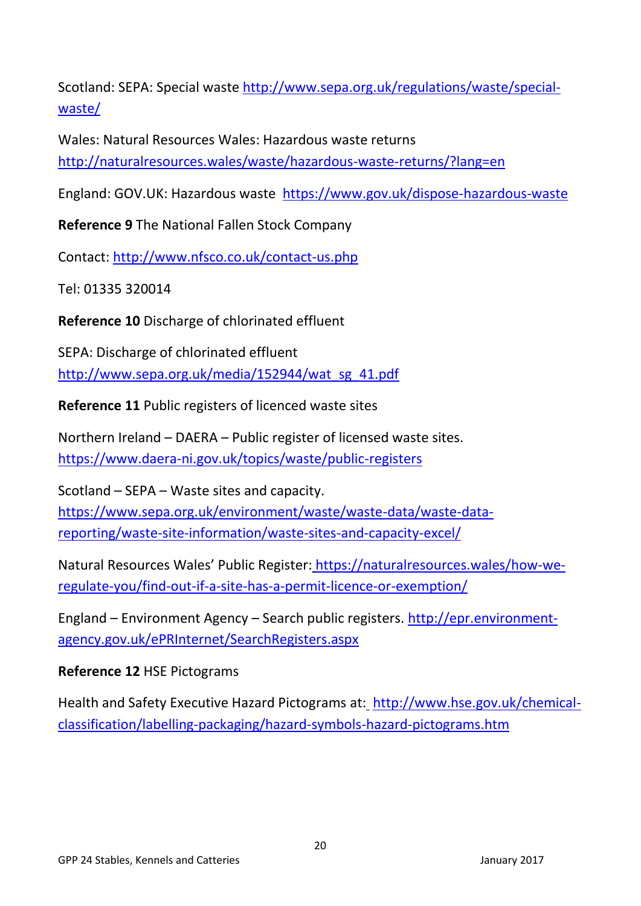Scotland: SEPA: Special waste [http://www.sepa.org.uk/regulations/waste/special](http://www.sepa.org.uk/regulations/waste/special-waste/)[waste/](http://www.sepa.org.uk/regulations/waste/special-waste/)

Wales: Natural Resources Wales: Hazardous waste returns <http://naturalresources.wales/waste/hazardous-waste-returns/?lang=en>

England: GOV.UK: Hazardous waste <https://www.gov.uk/dispose-hazardous-waste>

**Reference 9** The National Fallen Stock Company

Contact:<http://www.nfsco.co.uk/contact-us.php>

Tel: 01335 320014

**Reference 10** Discharge of chlorinated effluent

SEPA: Discharge of chlorinated effluent [http://www.sepa.org.uk/media/152944/wat\\_sg\\_41.pdf](http://www.sepa.org.uk/media/152944/wat_sg_41.pdf)

**Reference 11** Public registers of licenced waste sites

Northern Ireland – DAERA – Public register of licensed waste sites. <https://www.daera-ni.gov.uk/topics/waste/public-registers>

Scotland – SEPA – Waste sites and capacity. [https://www.sepa.org.uk/environment/waste/waste-data/waste-data](https://www.sepa.org.uk/environment/waste/waste-data/waste-data-reporting/waste-site-information/waste-sites-and-capacity-excel/)[reporting/waste-site-information/waste-sites-and-capacity-excel/](https://www.sepa.org.uk/environment/waste/waste-data/waste-data-reporting/waste-site-information/waste-sites-and-capacity-excel/)

Natural Resources Wales' Public Register: [https://naturalresources.wales/how-we](https://naturalresources.wales/how-we-regulate-you/find-out-if-a-site-has-a-permit-licence-or-exemption/)[regulate-you/find-out-if-a-site-has-a-permit-licence-or-exemption/](https://naturalresources.wales/how-we-regulate-you/find-out-if-a-site-has-a-permit-licence-or-exemption/)

England – Environment Agency – Search public registers. [http://epr.environment](http://epr.environment-agency.gov.uk/ePRInternet/SearchRegisters.aspx)[agency.gov.uk/ePRInternet/SearchRegisters.aspx](http://epr.environment-agency.gov.uk/ePRInternet/SearchRegisters.aspx)

# **Reference 12** HSE Pictograms

Health and Safety Executive Hazard Pictograms at: [http://www.hse.gov.uk/chemical](http://www.hse.gov.uk/chemical-classification/labelling-packaging/hazard-symbols-hazard-pictograms.htm)[classification/labelling-packaging/hazard-symbols-hazard-pictograms.htm](http://www.hse.gov.uk/chemical-classification/labelling-packaging/hazard-symbols-hazard-pictograms.htm)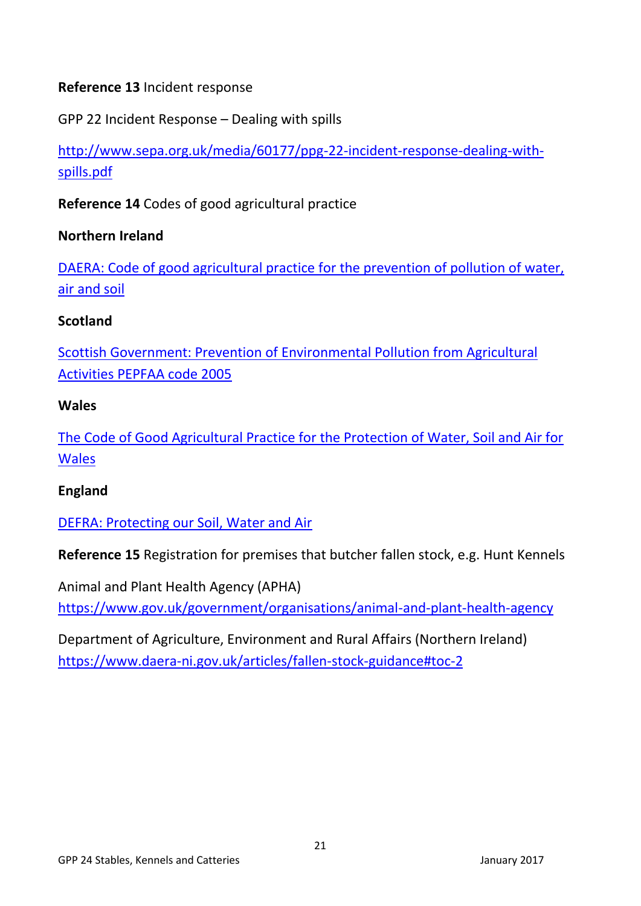### **Reference 13** Incident response

GPP 22 Incident Response – Dealing with spills

[http://www.sepa.org.uk/media/60177/ppg-22-incident-response-dealing-with](http://www.sepa.org.uk/media/60177/ppg-22-incident-response-dealing-with-spills.pdf)[spills.pdf](http://www.sepa.org.uk/media/60177/ppg-22-incident-response-dealing-with-spills.pdf)

**Reference 14** Codes of good agricultural practice

### **Northern Ireland**

[DAERA: Code of good agricultural practice for the prevention of pollution of water,](https://www.daera-ni.gov.uk/publications/code-good-agricultural-practice-cogap)  [air and soil](https://www.daera-ni.gov.uk/publications/code-good-agricultural-practice-cogap)

### **Scotland**

[Scottish Government: Prevention of Environmental Pollution from Agricultural](http://www.scotland.gov.uk/Publications/2005/03/20613/51366)  [Activities PEPFAA code 2005](http://www.scotland.gov.uk/Publications/2005/03/20613/51366)

### **Wales**

[The Code of Good Agricultural Practice for the Protection of Water, Soil and Air for](http://gov.wales/legislation/subordinate/nonsi/epwales/2011/4951580/?lang=en)  [Wales](http://gov.wales/legislation/subordinate/nonsi/epwales/2011/4951580/?lang=en)

### **England**

[DEFRA: Protecting our Soil, Water and Air](https://www.gov.uk/government/uploads/system/uploads/attachment_data/file/268691/pb13558-cogap-131223.pdf)

**Reference 15** Registration for premises that butcher fallen stock, e.g. Hunt Kennels

Animal and Plant Health Agency (APHA) <https://www.gov.uk/government/organisations/animal-and-plant-health-agency>

Department of Agriculture, Environment and Rural Affairs (Northern Ireland) <https://www.daera-ni.gov.uk/articles/fallen-stock-guidance#toc-2>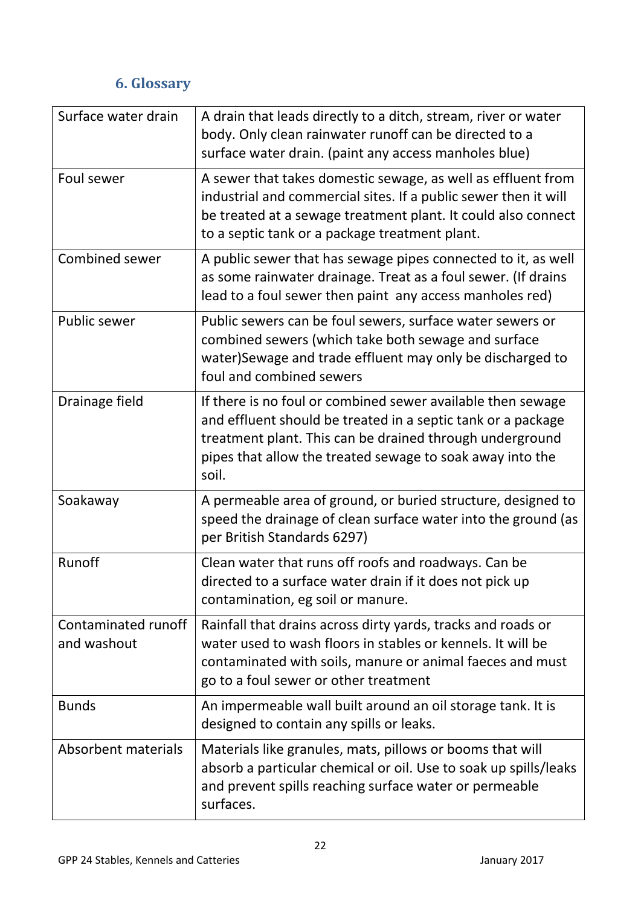# **6. Glossary**

<span id="page-21-0"></span>

| Surface water drain                | A drain that leads directly to a ditch, stream, river or water<br>body. Only clean rainwater runoff can be directed to a<br>surface water drain. (paint any access manholes blue)                                                                             |
|------------------------------------|---------------------------------------------------------------------------------------------------------------------------------------------------------------------------------------------------------------------------------------------------------------|
| Foul sewer                         | A sewer that takes domestic sewage, as well as effluent from<br>industrial and commercial sites. If a public sewer then it will<br>be treated at a sewage treatment plant. It could also connect<br>to a septic tank or a package treatment plant.            |
| Combined sewer                     | A public sewer that has sewage pipes connected to it, as well<br>as some rainwater drainage. Treat as a foul sewer. (If drains<br>lead to a foul sewer then paint any access manholes red)                                                                    |
| Public sewer                       | Public sewers can be foul sewers, surface water sewers or<br>combined sewers (which take both sewage and surface<br>water) Sewage and trade effluent may only be discharged to<br>foul and combined sewers                                                    |
| Drainage field                     | If there is no foul or combined sewer available then sewage<br>and effluent should be treated in a septic tank or a package<br>treatment plant. This can be drained through underground<br>pipes that allow the treated sewage to soak away into the<br>soil. |
| Soakaway                           | A permeable area of ground, or buried structure, designed to<br>speed the drainage of clean surface water into the ground (as<br>per British Standards 6297)                                                                                                  |
| Runoff                             | Clean water that runs off roofs and roadways. Can be<br>directed to a surface water drain if it does not pick up<br>contamination, eg soil or manure.                                                                                                         |
| Contaminated runoff<br>and washout | Rainfall that drains across dirty yards, tracks and roads or<br>water used to wash floors in stables or kennels. It will be<br>contaminated with soils, manure or animal faeces and must<br>go to a foul sewer or other treatment                             |
| <b>Bunds</b>                       | An impermeable wall built around an oil storage tank. It is<br>designed to contain any spills or leaks.                                                                                                                                                       |
| Absorbent materials                | Materials like granules, mats, pillows or booms that will<br>absorb a particular chemical or oil. Use to soak up spills/leaks<br>and prevent spills reaching surface water or permeable<br>surfaces.                                                          |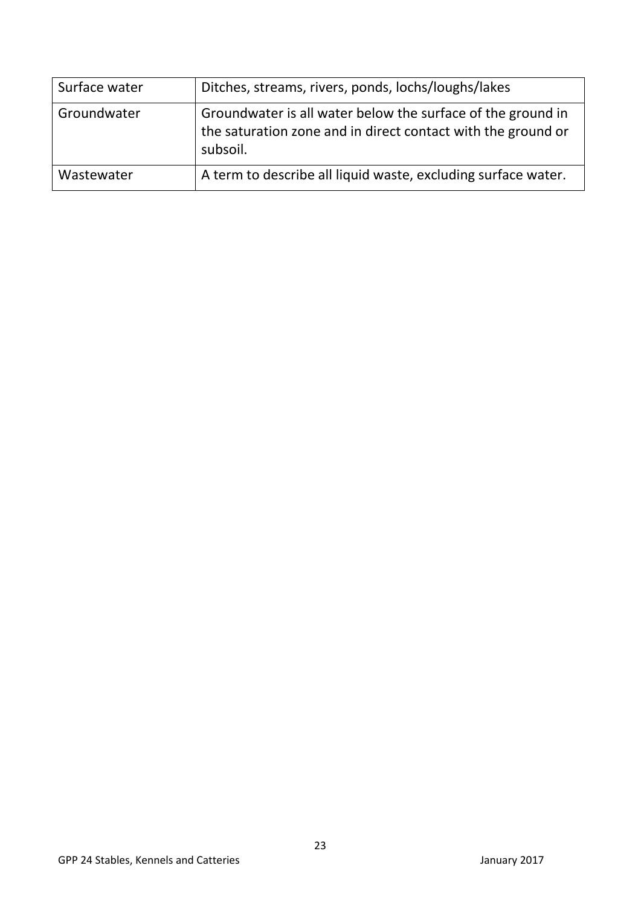| Surface water | Ditches, streams, rivers, ponds, lochs/loughs/lakes                                                                                     |
|---------------|-----------------------------------------------------------------------------------------------------------------------------------------|
| Groundwater   | Groundwater is all water below the surface of the ground in<br>the saturation zone and in direct contact with the ground or<br>subsoil. |
| Wastewater    | A term to describe all liquid waste, excluding surface water.                                                                           |